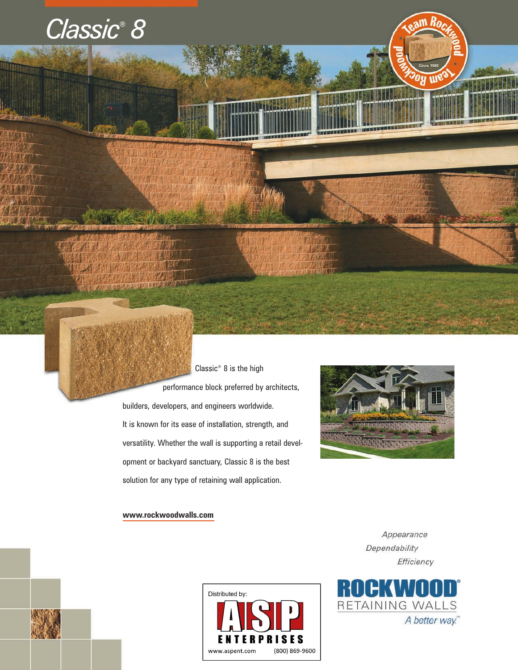# *Classic® 8*



performance block preferred by architects, builders, developers, and engineers worldwide. It is known for its ease of installation, strength, and versatility. Whether the wall is supporting a retail development or backyard sanctuary, Classic 8 is the best solution for any type of retaining wall application.

Classic® 8 is the high



### **www.rockwoodwalls.com**

Appearance Dependability Efficiency